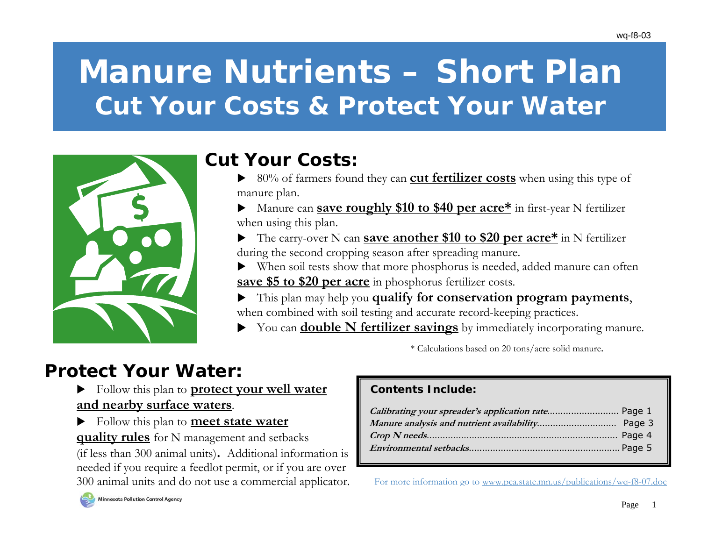# **Manure Nutrients – Short Plan Cut Your Costs & Protect Your Water**



## **Cut Your Costs:**

- $\triangleright$  80% of farmers found they can **cut fertilizer costs** when using this type of manure plan.
- ▶ Manure can **save roughly \$10 to \$40 per acre<sup>\*</sup>** in first-year N fertilizer when using this plan.
- The carry-over N can **save another \$10 to \$20 per acre\*** in N fertilizer during the second cropping season after spreading manure.
- When soil tests show that more phosphorus is needed, added manure can often  **save \$5 to \$20 per acre** in phosphorus fertilizer costs.
- X This plan may help you **qualify for conservation program payments**, when combined with soil testing and accurate record-keeping practices.
	- You can **double N fertilizer savings** by immediately incorporating manure.

\* Calculations based on 20 tons/acre solid manure.

## **Protect Your Water:**

- $\blacktriangleright$  Follow this plan to **protect your well water and nearby surface waters**.
- X Follow this plan to **meet state water quality rules** for N management and setbacks

(if less than 300 animal units)**.** Additional information is needed if you require a feedlot permit, or if you are over 300 animal units and do not use a commercial applicator.

### **Contents Include:**

For more information go to <u>www.pca.state.mn.us/publications/wq-f8-07.doc</u>

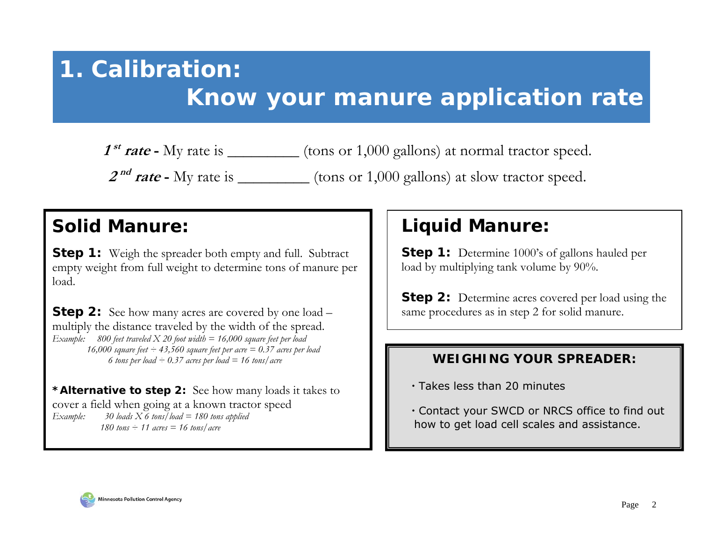# **1. Calibration:**

# **Know your manure application rate**

**1**<sup>st</sup> rate - My rate is \_\_\_\_\_\_\_\_\_\_ (tons or 1,000 gallons) at normal tractor speed.

**2<sup>nd</sup> rate -** My rate is \_\_\_\_\_\_\_\_\_\_ (tons or 1,000 gallons) at slow tractor speed.

## **Solid Manure:**

**Step 1:** Weigh the spreader both empty and full. Subtract empty weight from full weight to determine tons of manure per load.

**Step 2:** See how many acres are covered by one load – multiply the distance traveled by the width of the spread. *Example: 800 feet traveled X 20 foot width = 16,000 square feet per load 16,000 square feet ÷ 43,560 square feet per acre = 0.37 acres per load 6 tons per load ÷ 0.37 acres per load = 16 tons/acre* 

*\*Alternative to step 2:* See how many loads it takes to cover a field when going at a known tractor speed *Example: 30 loads X 6 tons/load = 180 tons applied 180 tons ÷ 11 acres = 16 tons/acre* 

## **Liquid Manure:**

**Step 1:** Determine 1000's of gallons hauled per load by multiplying tank volume by 90%.

**Step 2:** Determine acres covered per load using the same procedures as in step 2 for solid manure.

### **WEIGHING YOUR SPREADER:**

- Takes less than 20 minutes
- Contact your SWCD or NRCS office to find out how to get load cell scales and assistance.

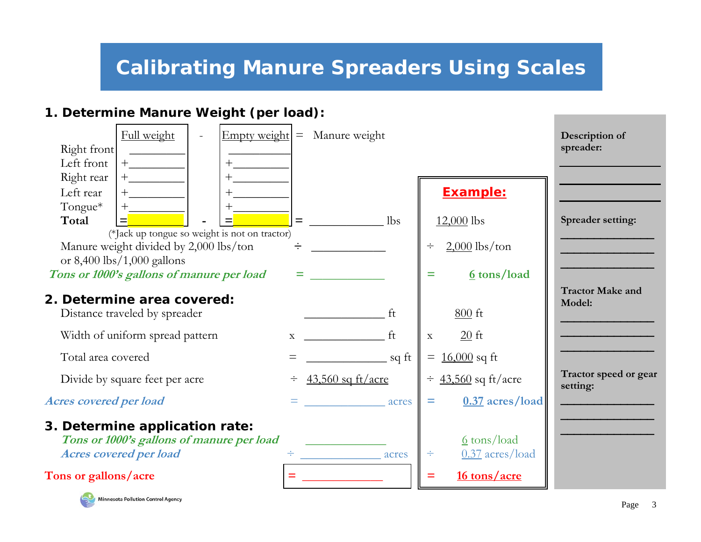# *Calibrating Manure Spreaders Using Scales*

### **1. Determine Manure Weight (per load):**

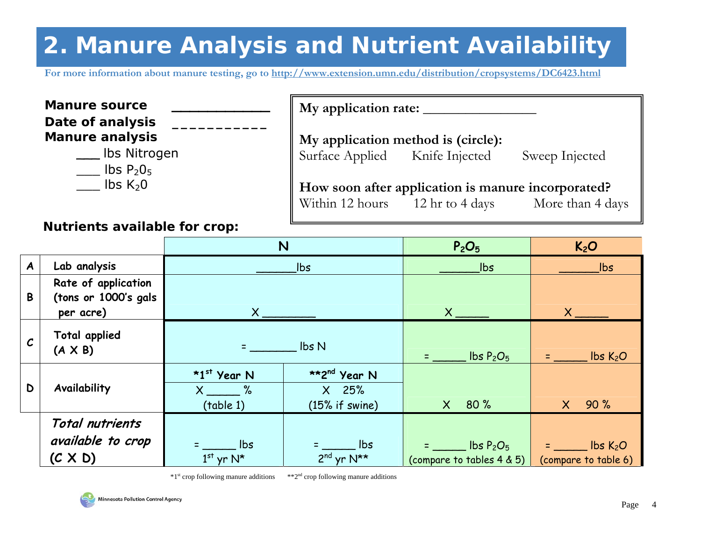# **2. Manure Analysis and Nutrient Availability**

**For more information about manure testing, go to http://www.extension.umn.edu/distribution/cropsystems/DC6423.html**

| <b>Manure source</b><br>Date of analysis | My application rate:                               |
|------------------------------------------|----------------------------------------------------|
| <b>Manure analysis</b>                   | My application method is (circle):                 |
| Ibs Nitrogen<br>$\text{lbs } P_2O_5$     | Surface Applied Knife Injected<br>Sweep Injected   |
| $\mathsf{libs}\ \mathsf{K}_2\mathsf{0}$  | How soon after application is manure incorporated? |
|                                          | Within 12 hours 12 hr to 4 days<br>More than 4 d   |

### **Nutrients available for crop:**

|                  |                                                          | N                                      |                                                         | P <sub>2</sub> O <sub>5</sub>                                  | K <sub>2</sub> O                                  |              |                |
|------------------|----------------------------------------------------------|----------------------------------------|---------------------------------------------------------|----------------------------------------------------------------|---------------------------------------------------|--------------|----------------|
| $\boldsymbol{A}$ | Lab analysis                                             |                                        | $\mathsf{lbs}$                                          | $\mathsf{lbs}$                                                 | $\mathsf{lbs}$                                    |              |                |
| B                | Rate of application<br>(tons or 1000's gals<br>per acre) | $X_{-}$                                |                                                         |                                                                |                                                   | $\mathsf{X}$ | $\mathsf{X}^-$ |
| $\mathcal{C}$    | <b>Total applied</b><br>$(A \times B)$                   | lbs N                                  |                                                         | $\text{lbs } P_2O_5$                                           | $\mathsf{Ibs}\, \mathsf{K}_2\mathsf{O}$           |              |                |
| D                | Availability                                             | *1st Year N<br>$X \sim %$<br>(table 1) | **2 <sup>nd</sup> Year N<br>$X$ 25%<br>$(15%$ if swine) | 80%<br>$\mathsf{X}^-$                                          | $X$ 90%                                           |              |                |
|                  | Total nutrients<br>available to crop<br>$(C \times D)$   | <b>lbs</b><br>$1st$ yr N*              | lbs<br>$2^{nd}$ yr $N^{\star\star}$                     | 1bs P <sub>2</sub> O <sub>5</sub><br>(compare to tables 4 & 5) | $\_$ lbs K <sub>2</sub> O<br>(compare to table 6) |              |                |

\*1<sup>st</sup> crop following manure additions \*\*\*2<sup>nd</sup> crop following manure additions



More than 4 days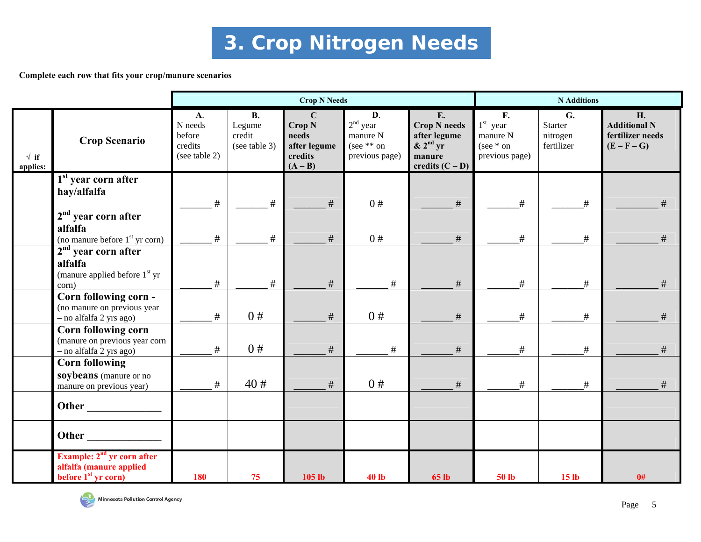# **3. Crop Nitrogen Needs**

#### **Complete each row that fits your crop/manure scenarios**

|                         |                                                                                            | <b>Crop N Needs</b>                                        |                                                |                                                                                   |                                                                |                                                                                                           | <b>N</b> Additions                                                        |                                         |                                                                |
|-------------------------|--------------------------------------------------------------------------------------------|------------------------------------------------------------|------------------------------------------------|-----------------------------------------------------------------------------------|----------------------------------------------------------------|-----------------------------------------------------------------------------------------------------------|---------------------------------------------------------------------------|-----------------------------------------|----------------------------------------------------------------|
| $\sqrt{if}$<br>applies: | <b>Crop Scenario</b>                                                                       | <b>A.</b><br>N needs<br>before<br>credits<br>(see table 2) | <b>B.</b><br>Legume<br>credit<br>(see table 3) | $\mathbf C$<br>Crop <sub>N</sub><br>needs<br>after legume<br>credits<br>$(A - B)$ | D.<br>$2nd$ year<br>manure N<br>(see $**$ on<br>previous page) | E.<br><b>Crop N</b> needs<br>after legume<br>$\& 2^{\text{nd}} \text{ yr}$<br>manure<br>credits $(C - D)$ | $\mathbf{F}$ .<br>$1st$ year<br>manure N<br>(see $*$ on<br>previous page) | G.<br>Starter<br>nitrogen<br>fertilizer | H.<br><b>Additional N</b><br>fertilizer needs<br>$(E - F - G)$ |
|                         | 1 <sup>st</sup> year corn after<br>hay/alfalfa                                             | #                                                          | $\#$                                           | $\#$                                                                              | 0#                                                             | $\#$                                                                                                      | #                                                                         | #                                       | $\#$                                                           |
|                         | $2nd$ year corn after<br>alfalfa<br>(no manure before 1 <sup>st</sup> yr corn)             | #                                                          | #                                              | #                                                                                 | 0#                                                             | $\#$                                                                                                      | #                                                                         | #                                       | $\#$                                                           |
|                         | $2nd$ year corn after<br>alfalfa<br>(manure applied before 1 <sup>st</sup> yr<br>corn)     | #                                                          | #                                              | #                                                                                 | #                                                              | #                                                                                                         | #                                                                         | #                                       | #                                                              |
|                         | Corn following corn -<br>(no manure on previous year<br>- no alfalfa 2 yrs ago)            | #                                                          | 0#                                             | $\#$                                                                              | 0#                                                             | $\#$                                                                                                      | #                                                                         | #                                       |                                                                |
|                         | Corn following corn<br>(manure on previous year corn<br>- no alfalfa 2 yrs ago)            | $\#$                                                       | 0#                                             | $\#$                                                                              | $\#$                                                           | $\#$                                                                                                      | #                                                                         | #                                       | $\#$                                                           |
|                         | <b>Corn following</b><br>soybeans (manure or no<br>manure on previous year)                | $\#$                                                       | 40#                                            | #                                                                                 | 0#                                                             | $\#$                                                                                                      | #                                                                         | #                                       | $\#$                                                           |
|                         | Other                                                                                      |                                                            |                                                |                                                                                   |                                                                |                                                                                                           |                                                                           |                                         |                                                                |
|                         | Other                                                                                      |                                                            |                                                |                                                                                   |                                                                |                                                                                                           |                                                                           |                                         |                                                                |
|                         | Example: 2 <sup>nd</sup> yr corn after<br>alfalfa (manure applied<br>before $1st$ yr corn) | <b>180</b>                                                 | 75                                             | 105 <sub>1b</sub>                                                                 | <b>40 lb</b>                                                   | <b>65 lb</b>                                                                                              | <b>50 lb</b>                                                              | 15 <sub>lb</sub>                        | 0#                                                             |

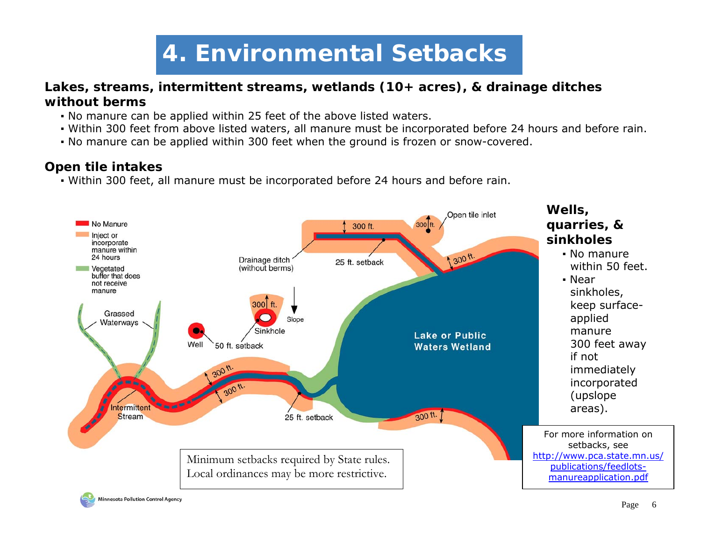# **4. Environmental Setbacks**

### **Lakes, streams, intermittent streams, wetlands (10+ acres), & drainage ditches without berms**

- No manure can be applied within 25 feet of the above listed waters.
- Within 300 feet from above listed waters, all manure must be incorporated before 24 hours and before rain.
- No manure can be applied within 300 feet when the ground is frozen or snow-covered.

### **Open tile intakes**

▪ Within 300 feet, all manure must be incorporated before 24 hours and before rain.

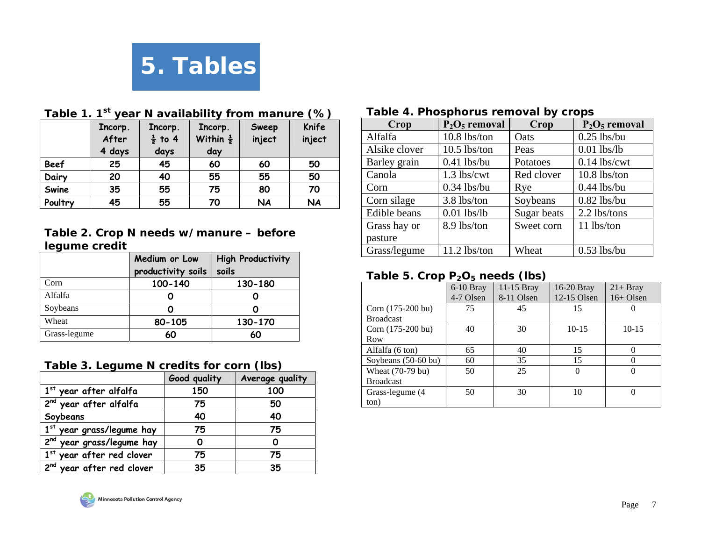

|             | Incorp.<br>After | Incorp.<br>$\frac{1}{2}$ to 4 | Incorp.<br>Within $\frac{1}{2}$ | Sweep<br>inject | Knife<br>inject |
|-------------|------------------|-------------------------------|---------------------------------|-----------------|-----------------|
|             | 4 days           | days                          | day                             |                 |                 |
| <b>Beef</b> | 25               | 45                            | 60                              | 60              | 50              |
| Dairy       | 20               | 40                            | 55                              | 55              | 50              |
| Swine       | 35               | 55                            | 75                              | 80              | 70              |
| Poultry     | 45               | 55                            | 70                              | <b>NA</b>       | <b>NA</b>       |

## **Table 1. 1st year N availability from manure (%)**

#### **Table 2. Crop N needs w/manure – before legume credit**

|              | Medium or Low      | <b>High Productivity</b> |
|--------------|--------------------|--------------------------|
|              | productivity soils | soils                    |
| Corn         | 100-140            | 130-180                  |
| Alfalfa      |                    |                          |
| Soybeans     |                    |                          |
| Wheat        | 80-105             | 130-170                  |
| Grass-legume | 60                 | 60                       |

#### **Table 3. Legume N credits for corn (lbs)**

|                                       | Good quality | Average quality |
|---------------------------------------|--------------|-----------------|
| 1st year after alfalfa                | 150          | 100             |
| 2 <sup>nd</sup> year after alfalfa    | 75           | 50              |
| Soybeans                              | 40           | 40              |
| 1st year grass/legume hay             | 75           | 75              |
| 2 <sup>nd</sup> year grass/legume hay |              | ი               |
| 1st year after red clover             | 75           | 75              |
| 2 <sup>nd</sup> year after red clover | 35           | 35              |
|                                       |              |                 |

#### **Table 4. Phosphorus removal by crops**

| Crop                | $P_2O_5$ removal | Crop        | $P_2O_5$ removal |
|---------------------|------------------|-------------|------------------|
| Alfalfa             | 10.8 lbs/ton     | Oats        | $0.25$ lbs/bu    |
| Alsike clover       | $10.5$ lbs/ton   | Peas        | $0.01$ lbs/lb    |
| Barley grain        | $0.41$ lbs/bu    | Potatoes    | $0.14$ lbs/cwt   |
| Canola              | 1.3 lbs/cwt      | Red clover  | $10.8$ lbs/ton   |
| Corn                | $0.34$ lbs/bu    | Rye         | $0.44$ lbs/bu    |
| Corn silage         | 3.8 lbs/ton      | Soybeans    | $0.82$ lbs/bu    |
| <b>Edible</b> beans | $0.01$ lbs/lb    | Sugar beats | 2.2 lbs/tons     |
| Grass hay or        | 8.9 lbs/ton      | Sweet corn  | 11 lbs/ton       |
| pasture             |                  |             |                  |
| Grass/legume        | $11.2$ lbs/ton   | Wheat       | $0.53$ lbs/bu    |

### **Table 5. Crop P2O5 needs (lbs)**

|                     | $6-10$ Bray | 11-15 Bray | 16-20 Bray    | $21 + Bray$ |
|---------------------|-------------|------------|---------------|-------------|
|                     | 4-7 Olsen   | 8-11 Olsen | $12-15$ Olsen | $16+$ Olsen |
| Corn (175-200 bu)   | 75          | 45         | 15            |             |
| <b>Broadcast</b>    |             |            |               |             |
| Corn (175-200 bu)   | 40          | 30         | $10-15$       | $10-15$     |
| Row                 |             |            |               |             |
| Alfalfa (6 ton)     | 65          | 40         | 15            |             |
| Soybeans (50-60 bu) | 60          | 35         | 15            |             |
| Wheat (70-79 bu)    | 50          | 25         | 0             |             |
| <b>Broadcast</b>    |             |            |               |             |
| Grass-legume (4)    | 50          | 30         | 10            |             |
| ton)                |             |            |               |             |